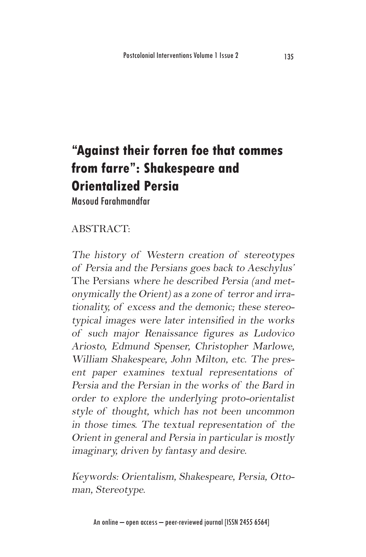# **"Against their forren foe that commes from farre": Shakespeare and Orientalized Persia**

Masoud Farahmandfar

## ABSTRACT:

The history of Western creation of stereotypes of Persia and the Persians goes back to Aeschylus' The Persians where he described Persia (and metonymically the Orient) as a zone of terror and irrationality, of excess and the demonic; these stereotypical images were later intensified in the works of such major Renaissance figures as Ludovico Ariosto, Edmund Spenser, Christopher Marlowe, William Shakespeare, John Milton, etc. The present paper examines textual representations of Persia and the Persian in the works of the Bard in order to explore the underlying proto-orientalist style of thought, which has not been uncommon in those times. The textual representation of the Orient in general and Persia in particular is mostly imaginary, driven by fantasy and desire.

Keywords: Orientalism, Shakespeare, Persia, Ottoman, Stereotype.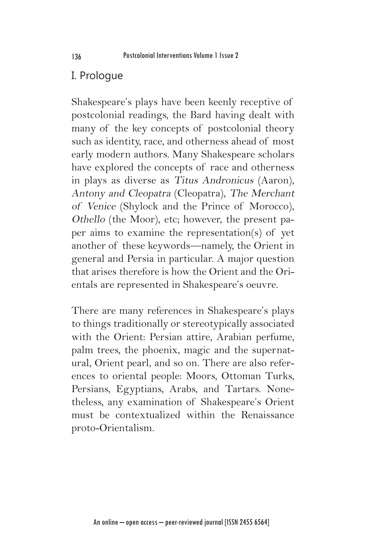### I. Prologue

Shakespeare's plays have been keenly receptive of postcolonial readings, the Bard having dealt with many of the key concepts of postcolonial theory such as identity, race, and otherness ahead of most early modern authors. Many Shakespeare scholars have explored the concepts of race and otherness in plays as diverse as Titus Andronicus (Aaron), Antony and Cleopatra (Cleopatra), The Merchant of Venice (Shylock and the Prince of Morocco), Othello (the Moor), etc; however, the present paper aims to examine the representation(s) of yet another of these keywords—namely, the Orient in general and Persia in particular. A major question that arises therefore is how the Orient and the Orientals are represented in Shakespeare's oeuvre.

There are many references in Shakespeare's plays to things traditionally or stereotypically associated with the Orient: Persian attire, Arabian perfume, palm trees, the phoenix, magic and the supernatural, Orient pearl, and so on. There are also references to oriental people: Moors, Ottoman Turks, Persians, Egyptians, Arabs, and Tartars. Nonetheless, any examination of Shakespeare's Orient must be contextualized within the Renaissance proto-Orientalism.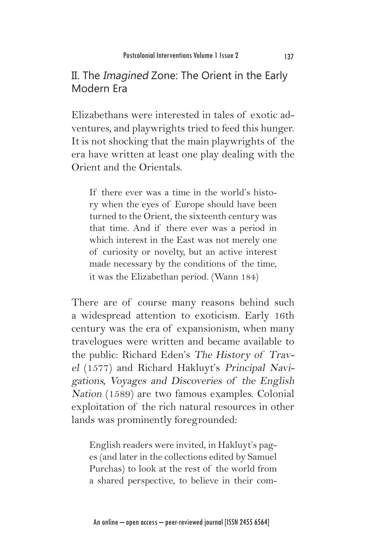## II. The Imagined Zone: The Orient in the Early Modern Era

Elizabethans were interested in tales of exotic adventures, and playwrights tried to feed this hunger. It is not shocking that the main playwrights of the era have written at least one play dealing with the Orient and the Orientals.

If there ever was a time in the world's history when the eyes of Europe should have been turned to the Orient, the sixteenth century was that time. And if there ever was a period in which interest in the East was not merely one of curiosity or novelty, but an active interest made necessary by the conditions of the time, it was the Elizabethan period. (Wann 184)

There are of course many reasons behind such a widespread attention to exoticism. Early 16th century was the era of expansionism, when many travelogues were written and became available to the public: Richard Eden's The History of Travel (1577) and Richard Hakluyt's Principal Navigations, Voyages and Discoveries of the English Nation (1589) are two famous examples. Colonial exploitation of the rich natural resources in other lands was prominently foregrounded:

English readers were invited, in Hakluyt's pages (and later in the collections edited by Samuel Purchas) to look at the rest of the world from a shared perspective, to believe in their com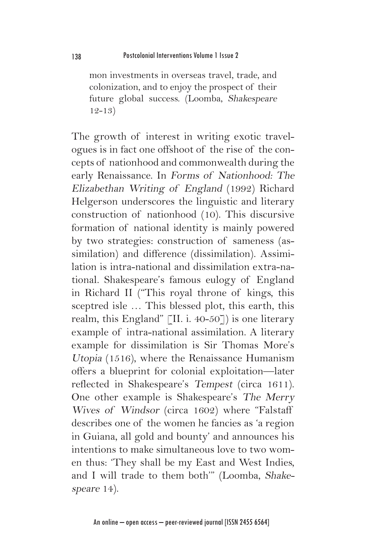mon investments in overseas travel, trade, and colonization, and to enjoy the prospect of their future global success. (Loomba, Shakespeare 12-13)

The growth of interest in writing exotic travelogues is in fact one offshoot of the rise of the concepts of nationhood and commonwealth during the early Renaissance. In Forms of Nationhood: The Elizabethan Writing of England (1992) Richard Helgerson underscores the linguistic and literary construction of nationhood (10). This discursive formation of national identity is mainly powered by two strategies: construction of sameness (assimilation) and difference (dissimilation). Assimilation is intra-national and dissimilation extra-national. Shakespeare's famous eulogy of England in Richard II ("This royal throne of kings, this sceptred isle … This blessed plot, this earth, this realm, this England"  $\lceil$ II. i. 40-50 $\rceil$ ) is one literary example of intra-national assimilation. A literary example for dissimilation is Sir Thomas More's Utopia (1516), where the Renaissance Humanism offers a blueprint for colonial exploitation—later reflected in Shakespeare's Tempest (circa 1611). One other example is Shakespeare's The Merry Wives of Windsor (circa 1602) where "Falstaff describes one of the women he fancies as 'a region in Guiana, all gold and bounty' and announces his intentions to make simultaneous love to two women thus: 'They shall be my East and West Indies, and I will trade to them both'" (Loomba, Shakespeare 14).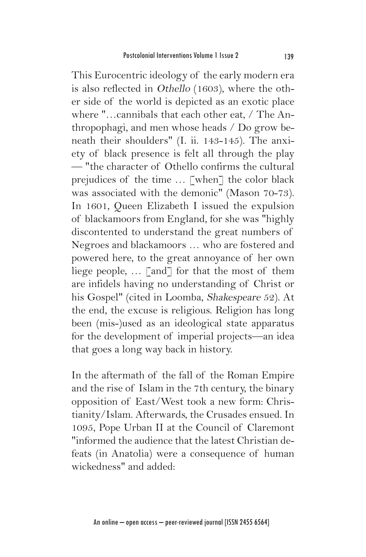This Eurocentric ideology of the early modern era is also reflected in Othello (1603), where the other side of the world is depicted as an exotic place where "…cannibals that each other eat, / The Anthropophagi, and men whose heads / Do grow beneath their shoulders" (I. ii. 143-145). The anxiety of black presence is felt all through the play — "the character of Othello confirms the cultural prejudices of the time … [when] the color black was associated with the demonic" (Mason 70-73). In 1601, Queen Elizabeth I issued the expulsion of blackamoors from England, for she was "highly discontented to understand the great numbers of Negroes and blackamoors … who are fostered and powered here, to the great annoyance of her own liege people, ... [and] for that the most of them are infidels having no understanding of Christ or his Gospel" (cited in Loomba, Shakespeare 52). At the end, the excuse is religious. Religion has long been (mis-)used as an ideological state apparatus for the development of imperial projects—an idea that goes a long way back in history.

In the aftermath of the fall of the Roman Empire and the rise of Islam in the 7th century, the binary opposition of East/West took a new form: Christianity/Islam. Afterwards, the Crusades ensued. In 1095, Pope Urban II at the Council of Claremont "informed the audience that the latest Christian defeats (in Anatolia) were a consequence of human wickedness" and added: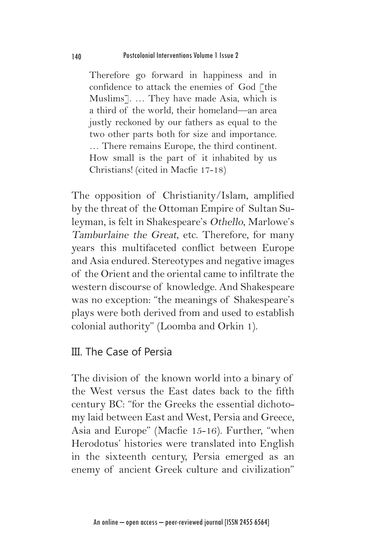Therefore go forward in happiness and in confidence to attack the enemies of God [the Muslims]. … They have made Asia, which is a third of the world, their homeland—an area justly reckoned by our fathers as equal to the two other parts both for size and importance. … There remains Europe, the third continent. How small is the part of it inhabited by us Christians! (cited in Macfie 17-18)

The opposition of Christianity/Islam, amplified by the threat of the Ottoman Empire of Sultan Suleyman, is felt in Shakespeare's Othello, Marlowe's Tamburlaine the Great, etc. Therefore, for many years this multifaceted conflict between Europe and Asia endured. Stereotypes and negative images of the Orient and the oriental came to infiltrate the western discourse of knowledge. And Shakespeare was no exception: "the meanings of Shakespeare's plays were both derived from and used to establish colonial authority" (Loomba and Orkin 1).

#### III. The Case of Persia

The division of the known world into a binary of the West versus the East dates back to the fifth century BC: "for the Greeks the essential dichotomy laid between East and West, Persia and Greece, Asia and Europe" (Macfie 15-16). Further, "when Herodotus' histories were translated into English in the sixteenth century, Persia emerged as an enemy of ancient Greek culture and civilization"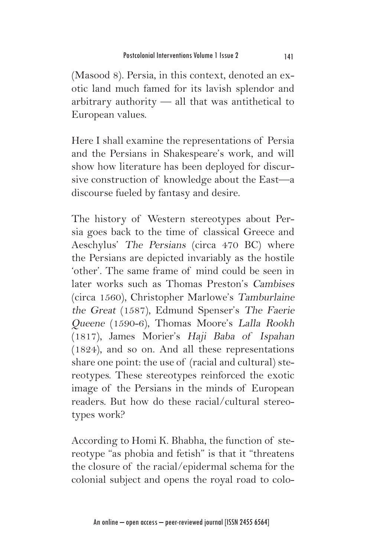(Masood 8). Persia, in this context, denoted an exotic land much famed for its lavish splendor and arbitrary authority — all that was antithetical to European values.

Here I shall examine the representations of Persia and the Persians in Shakespeare's work, and will show how literature has been deployed for discursive construction of knowledge about the East—a discourse fueled by fantasy and desire.

The history of Western stereotypes about Persia goes back to the time of classical Greece and Aeschylus' The Persians (circa 470 BC) where the Persians are depicted invariably as the hostile 'other'. The same frame of mind could be seen in later works such as Thomas Preston's Cambises (circa 1560), Christopher Marlowe's Tamburlaine the Great (1587), Edmund Spenser's The Faerie Queene (1590-6), Thomas Moore's Lalla Rookh (1817), James Morier's Haji Baba of Ispahan (1824), and so on. And all these representations share one point: the use of (racial and cultural) stereotypes. These stereotypes reinforced the exotic image of the Persians in the minds of European readers. But how do these racial/cultural stereotypes work?

According to Homi K. Bhabha, the function of stereotype "as phobia and fetish" is that it "threatens the closure of the racial/epidermal schema for the colonial subject and opens the royal road to colo-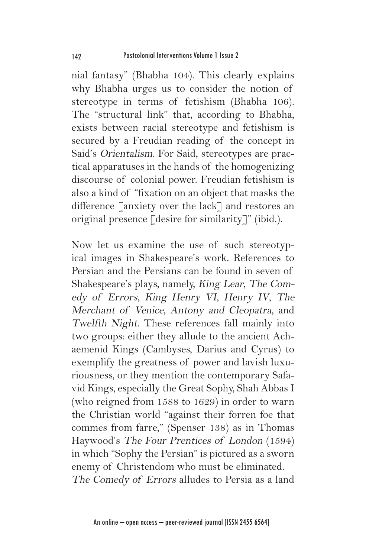nial fantasy" (Bhabha 104). This clearly explains why Bhabha urges us to consider the notion of stereotype in terms of fetishism (Bhabha 106). The "structural link" that, according to Bhabha, exists between racial stereotype and fetishism is secured by a Freudian reading of the concept in Said's Orientalism. For Said, stereotypes are practical apparatuses in the hands of the homogenizing discourse of colonial power. Freudian fetishism is also a kind of "fixation on an object that masks the difference [anxiety over the lack] and restores an original presence [desire for similarity]" (ibid.).

Now let us examine the use of such stereotypical images in Shakespeare's work. References to Persian and the Persians can be found in seven of Shakespeare's plays, namely, King Lear, The Comedy of Errors, King Henry VI, Henry IV, The Merchant of Venice, Antony and Cleopatra, and Twelfth Night. These references fall mainly into two groups: either they allude to the ancient Achaemenid Kings (Cambyses, Darius and Cyrus) to exemplify the greatness of power and lavish luxuriousness, or they mention the contemporary Safavid Kings, especially the Great Sophy, Shah Abbas I (who reigned from 1588 to 1629) in order to warn the Christian world "against their forren foe that commes from farre," (Spenser 138) as in Thomas Haywood's The Four Prentices of London (1594) in which "Sophy the Persian" is pictured as a sworn enemy of Christendom who must be eliminated. The Comedy of Errors alludes to Persia as a land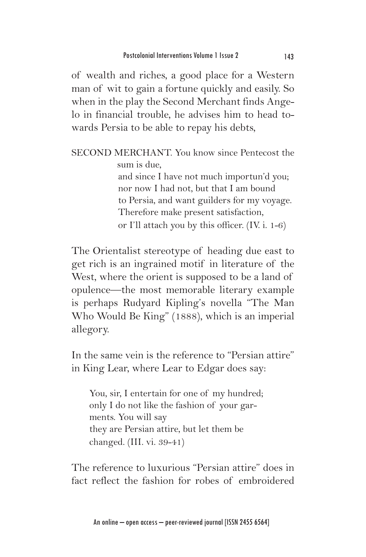of wealth and riches, a good place for a Western man of wit to gain a fortune quickly and easily. So when in the play the Second Merchant finds Angelo in financial trouble, he advises him to head towards Persia to be able to repay his debts,

SECOND MERCHANT. You know since Pentecost the sum is due, and since I have not much importun'd you; nor now I had not, but that I am bound to Persia, and want guilders for my voyage. Therefore make present satisfaction, or I'll attach you by this officer. (IV. i. 1-6)

The Orientalist stereotype of heading due east to get rich is an ingrained motif in literature of the West, where the orient is supposed to be a land of opulence—the most memorable literary example is perhaps Rudyard Kipling's novella "The Man Who Would Be King" (1888), which is an imperial allegory.

In the same vein is the reference to "Persian attire" in King Lear, where Lear to Edgar does say:

You, sir, I entertain for one of my hundred; only I do not like the fashion of your garments. You will say they are Persian attire, but let them be changed. (III. vi. 39-41)

The reference to luxurious "Persian attire" does in fact reflect the fashion for robes of embroidered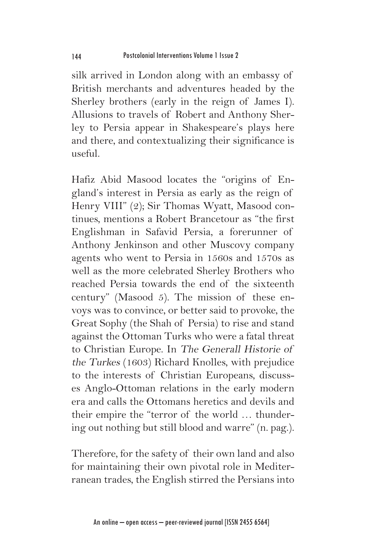silk arrived in London along with an embassy of British merchants and adventures headed by the Sherley brothers (early in the reign of James I). Allusions to travels of Robert and Anthony Sherley to Persia appear in Shakespeare's plays here and there, and contextualizing their significance is useful.

Hafiz Abid Masood locates the "origins of England's interest in Persia as early as the reign of Henry VIII" (2); Sir Thomas Wyatt, Masood continues, mentions a Robert Brancetour as "the first Englishman in Safavid Persia, a forerunner of Anthony Jenkinson and other Muscovy company agents who went to Persia in 1560s and 1570s as well as the more celebrated Sherley Brothers who reached Persia towards the end of the sixteenth century" (Masood 5). The mission of these envoys was to convince, or better said to provoke, the Great Sophy (the Shah of Persia) to rise and stand against the Ottoman Turks who were a fatal threat to Christian Europe. In The Generall Historie of the Turkes (1603) Richard Knolles, with prejudice to the interests of Christian Europeans, discusses Anglo-Ottoman relations in the early modern era and calls the Ottomans heretics and devils and their empire the "terror of the world … thundering out nothing but still blood and warre" (n. pag.).

Therefore, for the safety of their own land and also for maintaining their own pivotal role in Mediterranean trades, the English stirred the Persians into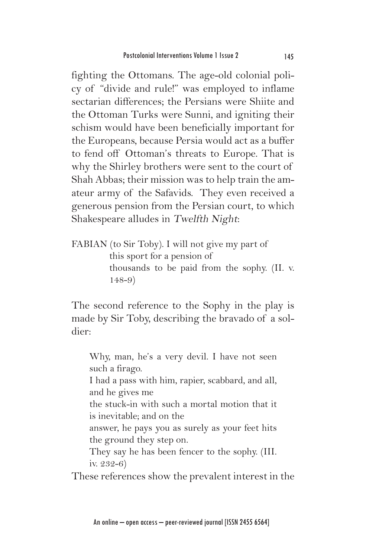fighting the Ottomans. The age-old colonial policy of "divide and rule!" was employed to inflame sectarian differences; the Persians were Shiite and the Ottoman Turks were Sunni, and igniting their schism would have been beneficially important for the Europeans, because Persia would act as a buffer to fend off Ottoman's threats to Europe. That is why the Shirley brothers were sent to the court of Shah Abbas; their mission was to help train the amateur army of the Safavids. They even received a generous pension from the Persian court, to which Shakespeare alludes in Twelfth Night:

FABIAN (to Sir Toby). I will not give my part of this sport for a pension of thousands to be paid from the sophy. (II. v. 148-9)

The second reference to the Sophy in the play is made by Sir Toby, describing the bravado of a soldier:

Why, man, he's a very devil. I have not seen such a firago. I had a pass with him, rapier, scabbard, and all, and he gives me the stuck-in with such a mortal motion that it is inevitable; and on the answer, he pays you as surely as your feet hits the ground they step on. They say he has been fencer to the sophy. (III. iv. 232-6)

These references show the prevalent interest in the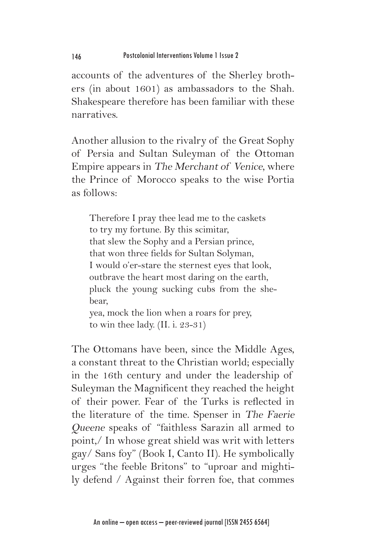accounts of the adventures of the Sherley brothers (in about 1601) as ambassadors to the Shah. Shakespeare therefore has been familiar with these narratives.

Another allusion to the rivalry of the Great Sophy of Persia and Sultan Suleyman of the Ottoman Empire appears in The Merchant of Venice, where the Prince of Morocco speaks to the wise Portia as follows:

Therefore I pray thee lead me to the caskets to try my fortune. By this scimitar, that slew the Sophy and a Persian prince, that won three fields for Sultan Solyman, I would o'er-stare the sternest eyes that look, outbrave the heart most daring on the earth, pluck the young sucking cubs from the shebear, yea, mock the lion when a roars for prey,

to win thee lady. (II. i. 23-31)

The Ottomans have been, since the Middle Ages, a constant threat to the Christian world; especially in the 16th century and under the leadership of Suleyman the Magnificent they reached the height of their power. Fear of the Turks is reflected in the literature of the time. Spenser in The Faerie Queene speaks of "faithless Sarazin all armed to point,/ In whose great shield was writ with letters gay/ Sans foy" (Book I, Canto II). He symbolically urges "the feeble Britons" to "uproar and mightily defend / Against their forren foe, that commes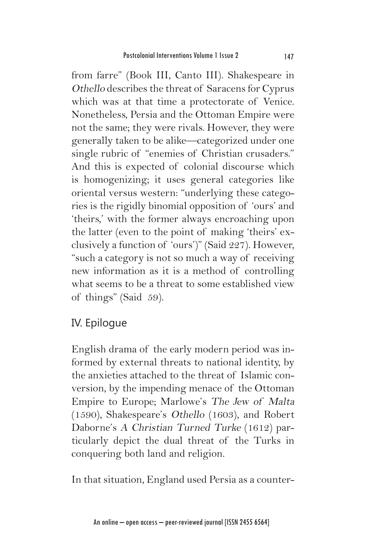from farre" (Book III, Canto III). Shakespeare in Othello describes the threat of Saracens for Cyprus which was at that time a protectorate of Venice. Nonetheless, Persia and the Ottoman Empire were not the same; they were rivals. However, they were generally taken to be alike—categorized under one single rubric of "enemies of Christian crusaders." And this is expected of colonial discourse which is homogenizing; it uses general categories like oriental versus western: "underlying these categories is the rigidly binomial opposition of 'ours' and 'theirs,' with the former always encroaching upon the latter (even to the point of making 'theirs' exclusively a function of 'ours')" (Said 227). However, "such a category is not so much a way of receiving new information as it is a method of controlling what seems to be a threat to some established view of things" (Said 59).

## IV. Epilogue

English drama of the early modern period was informed by external threats to national identity, by the anxieties attached to the threat of Islamic conversion, by the impending menace of the Ottoman Empire to Europe; Marlowe's The Jew of Malta (1590), Shakespeare's Othello (1603), and Robert Daborne's A Christian Turned Turke (1612) particularly depict the dual threat of the Turks in conquering both land and religion.

In that situation, England used Persia as a counter-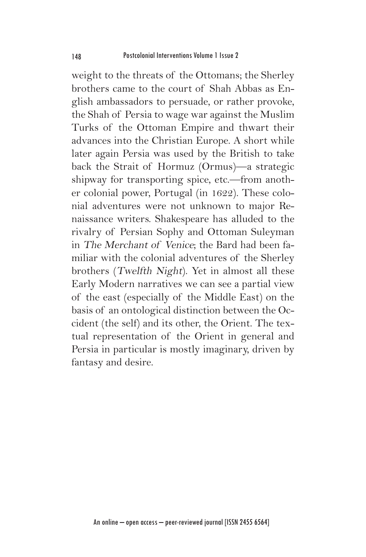weight to the threats of the Ottomans; the Sherley brothers came to the court of Shah Abbas as English ambassadors to persuade, or rather provoke, the Shah of Persia to wage war against the Muslim Turks of the Ottoman Empire and thwart their advances into the Christian Europe. A short while later again Persia was used by the British to take back the Strait of Hormuz (Ormus)—a strategic shipway for transporting spice, etc.—from another colonial power, Portugal (in 1622). These colonial adventures were not unknown to major Renaissance writers. Shakespeare has alluded to the rivalry of Persian Sophy and Ottoman Suleyman in The Merchant of Venice; the Bard had been familiar with the colonial adventures of the Sherley brothers (Twelfth Night). Yet in almost all these Early Modern narratives we can see a partial view of the east (especially of the Middle East) on the basis of an ontological distinction between the Occident (the self) and its other, the Orient. The textual representation of the Orient in general and Persia in particular is mostly imaginary, driven by fantasy and desire.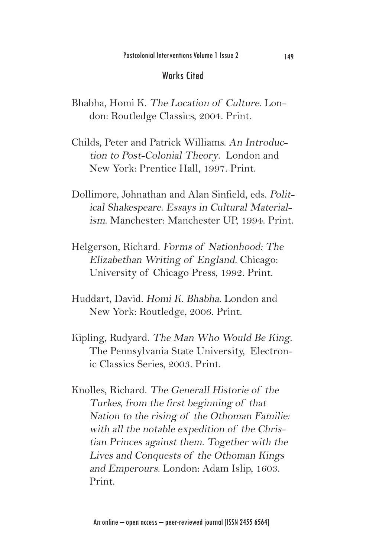#### Works Cited

- Bhabha, Homi K. The Location of Culture. London: Routledge Classics, 2004. Print.
- Childs, Peter and Patrick Williams. An Introduction to Post-Colonial Theory. London and New York: Prentice Hall, 1997. Print.
- Dollimore, Johnathan and Alan Sinfield, eds. Political Shakespeare. Essays in Cultural Materialism. Manchester: Manchester UP, 1994. Print.
- Helgerson, Richard. Forms of Nationhood: The Elizabethan Writing of England. Chicago: University of Chicago Press, 1992. Print.
- Huddart, David. Homi K. Bhabha. London and New York: Routledge, 2006. Print.
- Kipling, Rudyard. The Man Who Would Be King. The Pennsylvania State University, Electronic Classics Series, 2003. Print.
- Knolles, Richard. The Generall Historie of the Turkes, from the first beginning of that Nation to the rising of the Othoman Familie: with all the notable expedition of the Christian Princes against them. Together with the Lives and Conquests of the Othoman Kings and Emperours. London: Adam Islip, 1603. Print.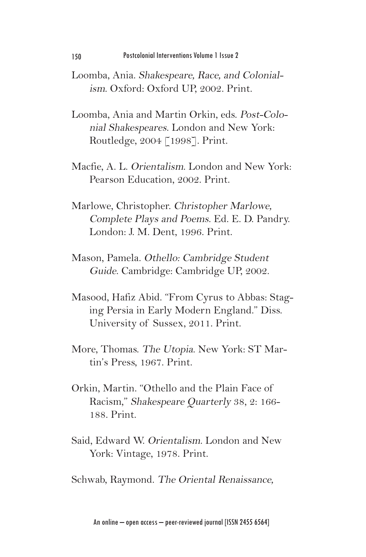- Loomba, Ania. Shakespeare, Race, and Colonialism. Oxford: Oxford UP, 2002. Print.
- Loomba, Ania and Martin Orkin, eds. Post-Colonial Shakespeares. London and New York: Routledge, 2004 [1998]. Print.
- Macfie, A. L. Orientalism. London and New York: Pearson Education, 2002. Print.
- Marlowe, Christopher. Christopher Marlowe, Complete Plays and Poems. Ed. E. D. Pandry. London: J. M. Dent, 1996. Print.
- Mason, Pamela. Othello: Cambridge Student Guide. Cambridge: Cambridge UP, 2002.
- Masood, Hafiz Abid. "From Cyrus to Abbas: Staging Persia in Early Modern England." Diss. University of Sussex, 2011. Print.
- More, Thomas. The Utopia. New York: ST Martin's Press, 1967. Print.
- Orkin, Martin. "Othello and the Plain Face of Racism," Shakespeare Quarterly 38, 2: 166- 188. Print.
- Said, Edward W. Orientalism. London and New York: Vintage, 1978. Print.

Schwab, Raymond. The Oriental Renaissance,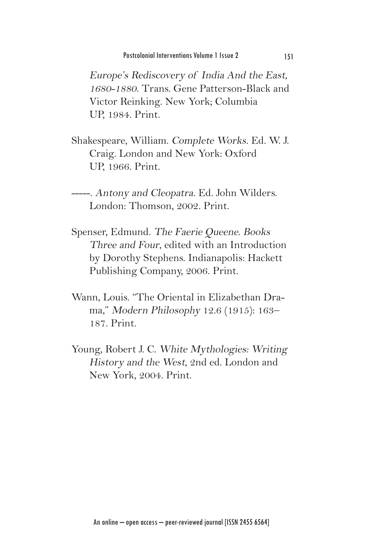Europe's Rediscovery of India And the East, 1680-1880. Trans. Gene Patterson-Black and Victor Reinking. New York; Columbia UP, 1984. Print.

Shakespeare, William. Complete Works. Ed. W. J. Craig. London and New York: Oxford UP, 1966. Print.

-----. Antony and Cleopatra. Ed. John Wilders. London: Thomson, 2002. Print.

- Spenser, Edmund. The Faerie Queene. Books Three and Four, edited with an Introduction by Dorothy Stephens. Indianapolis: Hackett Publishing Company, 2006. Print.
- Wann, Louis. "The Oriental in Elizabethan Drama," Modern Philosophy 12.6 (1915): 163– 187. Print.
- Young, Robert J. C. White Mythologies: Writing History and the West, 2nd ed. London and New York, 2004. Print.